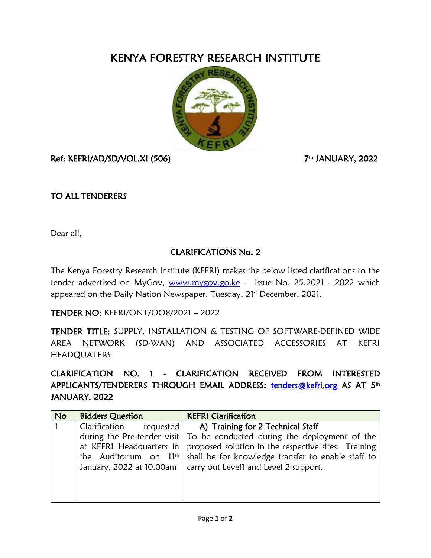## KENYA FORESTRY RESEARCH INSTITUTE



Ref: KEFRI/AD/SD/VOL.XI (506) 7

th JANUARY, 2022

## TO ALL TENDERERS

Dear all,

## CLARIFICATIONS No. 2

The Kenya Forestry Research Institute (KEFRI) makes the below listed clarifications to the tender advertised on MyGov, [www.mygov.go.ke](http://www.mygov.go.ke/) - Issue No. 25.2021 - 2022 which appeared on the Daily Nation Newspaper, Tuesday, 21st December, 2021.

TENDER NO: KEFRI/ONT/OO8/2021 – 2022

TENDER TITLE: SUPPLY, INSTALLATION & TESTING OF SOFTWARE-DEFINED WIDE AREA NETWORK (SD-WAN) AND ASSOCIATED ACCESSORIES AT KEFRI **HEADQUATERS** 

CLARIFICATION NO. 1 - CLARIFICATION RECEIVED FROM INTERESTED APPLICANTS/TENDERERS THROUGH EMAIL ADDRESS: [tenders@kefri.org](mailto:tenders@kefri.org) AS AT 5th JANUARY, 2022

| <b>No</b> | <b>Bidders Question</b>    | <b>KEFRI Clarification</b>                                                       |
|-----------|----------------------------|----------------------------------------------------------------------------------|
|           | Clarification<br>requested | A) Training for 2 Technical Staff                                                |
|           |                            | during the Pre-tender visit $\vert$ To be conducted during the deployment of the |
|           | at KEFRI Headquarters in   | proposed solution in the respective sites. Training                              |
|           |                            | the Auditorium on $11th$ shall be for knowledge transfer to enable staff to      |
|           | January, 2022 at 10.00am   | carry out Level1 and Level 2 support.                                            |
|           |                            |                                                                                  |
|           |                            |                                                                                  |
|           |                            |                                                                                  |